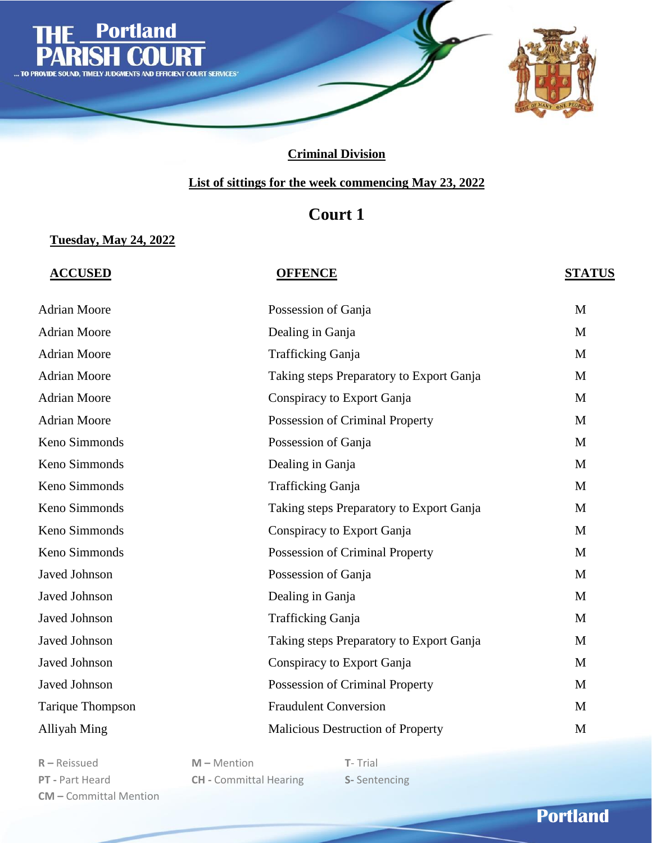

### **List of sittings for the week commencing May 23, 2022**

# **Court 1**

### **Tuesday, May 24, 2022**

#### **ACCUSED OFFENCE STATUS**

| <b>Adrian Moore</b>  | Possession of Ganja                      | M |
|----------------------|------------------------------------------|---|
| <b>Adrian Moore</b>  | Dealing in Ganja                         | M |
| <b>Adrian Moore</b>  | Trafficking Ganja                        | M |
| <b>Adrian Moore</b>  | Taking steps Preparatory to Export Ganja | M |
| <b>Adrian Moore</b>  | Conspiracy to Export Ganja               | M |
| <b>Adrian Moore</b>  | Possession of Criminal Property          | M |
| Keno Simmonds        | Possession of Ganja                      | M |
| Keno Simmonds        | Dealing in Ganja                         | M |
| Keno Simmonds        | <b>Trafficking Ganja</b>                 | M |
| Keno Simmonds        | Taking steps Preparatory to Export Ganja | M |
| Keno Simmonds        | Conspiracy to Export Ganja               | M |
| Keno Simmonds        | Possession of Criminal Property          | M |
| <b>Javed Johnson</b> | Possession of Ganja                      | M |
| <b>Javed Johnson</b> | Dealing in Ganja                         | M |
| Javed Johnson        | Trafficking Ganja                        | M |
| Javed Johnson        | Taking steps Preparatory to Export Ganja | M |
| Javed Johnson        | Conspiracy to Export Ganja               | M |
| Javed Johnson        | Possession of Criminal Property          | M |
| Tarique Thompson     | <b>Fraudulent Conversion</b>             | M |
| Alliyah Ming         | <b>Malicious Destruction of Property</b> | M |

**R –** Reissued **M –** Mention **T**- Trial **CM –** Committal Mention

**PT -** Part Heard **CH -** Committal Hearing **S-** Sentencing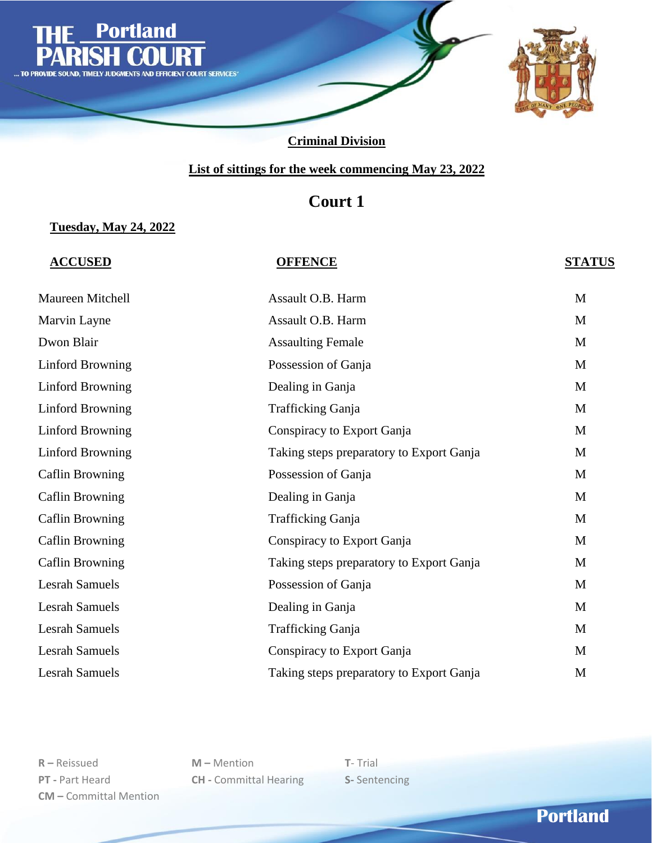

### **List of sittings for the week commencing May 23, 2022**

# **Court 1**

#### **Tuesday, May 24, 2022**

### **ACCUSED OFFENCE STATUS**

| Maureen Mitchell        | Assault O.B. Harm                        | M |
|-------------------------|------------------------------------------|---|
| Marvin Layne            | Assault O.B. Harm                        | M |
| Dwon Blair              | <b>Assaulting Female</b>                 | M |
| <b>Linford Browning</b> | Possession of Ganja                      | M |
| <b>Linford Browning</b> | Dealing in Ganja                         | M |
| <b>Linford Browning</b> | Trafficking Ganja                        | M |
| Linford Browning        | Conspiracy to Export Ganja               | M |
| <b>Linford Browning</b> | Taking steps preparatory to Export Ganja | M |
| <b>Caflin Browning</b>  | Possession of Ganja                      | M |
| <b>Caflin Browning</b>  | Dealing in Ganja                         | M |
| <b>Caflin Browning</b>  | Trafficking Ganja                        | M |
| <b>Caflin Browning</b>  | Conspiracy to Export Ganja               | M |
| <b>Caflin Browning</b>  | Taking steps preparatory to Export Ganja | M |
| <b>Lesrah Samuels</b>   | Possession of Ganja                      | M |
| <b>Lesrah Samuels</b>   | Dealing in Ganja                         | M |
| <b>Lesrah Samuels</b>   | Trafficking Ganja                        | M |
| <b>Lesrah Samuels</b>   | Conspiracy to Export Ganja               | M |
| <b>Lesrah Samuels</b>   | Taking steps preparatory to Export Ganja | M |

**R –** Reissued **M –** Mention **T**- Trial **PT -** Part Heard **CH -** Committal Hearing **S-** Sentencing **CM –** Committal Mention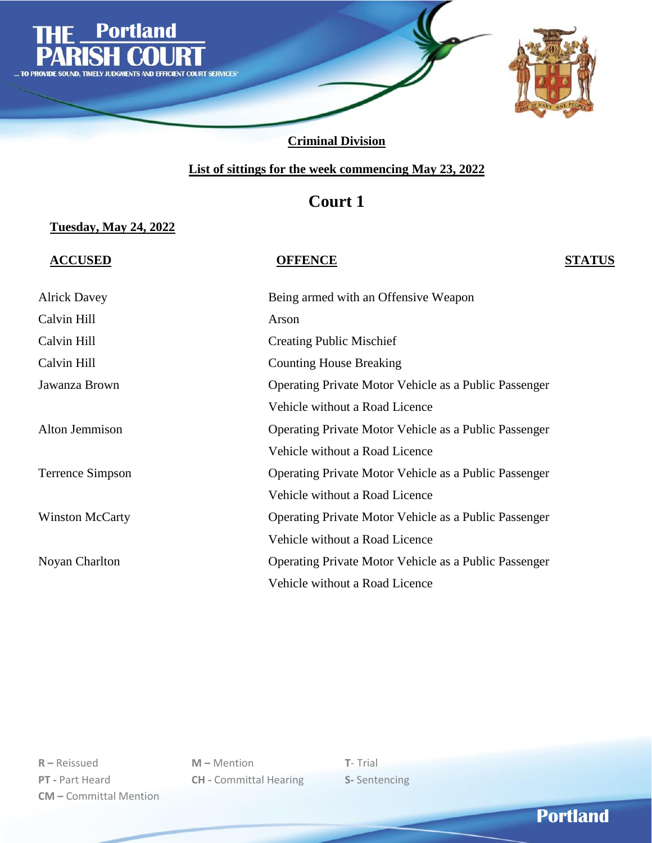

### **List of sittings for the week commencing May 23, 2022**

# **Court 1**

#### **Tuesday, May 24, 2022**

**ACCUSED OFFENCE STATUS**

| <b>Alrick Davey</b>    | Being armed with an Offensive Weapon                  |
|------------------------|-------------------------------------------------------|
| Calvin Hill            | Arson                                                 |
| Calvin Hill            | <b>Creating Public Mischief</b>                       |
| Calvin Hill            | <b>Counting House Breaking</b>                        |
| Jawanza Brown          | Operating Private Motor Vehicle as a Public Passenger |
|                        | Vehicle without a Road Licence                        |
| Alton Jemmison         | Operating Private Motor Vehicle as a Public Passenger |
|                        | Vehicle without a Road Licence                        |
| Terrence Simpson       | Operating Private Motor Vehicle as a Public Passenger |
|                        | Vehicle without a Road Licence                        |
| <b>Winston McCarty</b> | Operating Private Motor Vehicle as a Public Passenger |
|                        | Vehicle without a Road Licence                        |
| Noyan Charlton         | Operating Private Motor Vehicle as a Public Passenger |
|                        | Vehicle without a Road Licence                        |

**R –** Reissued **M –** Mention **T**- Trial **PT -** Part Heard **CH -** Committal Hearing **S-** Sentencing **CM –** Committal Mention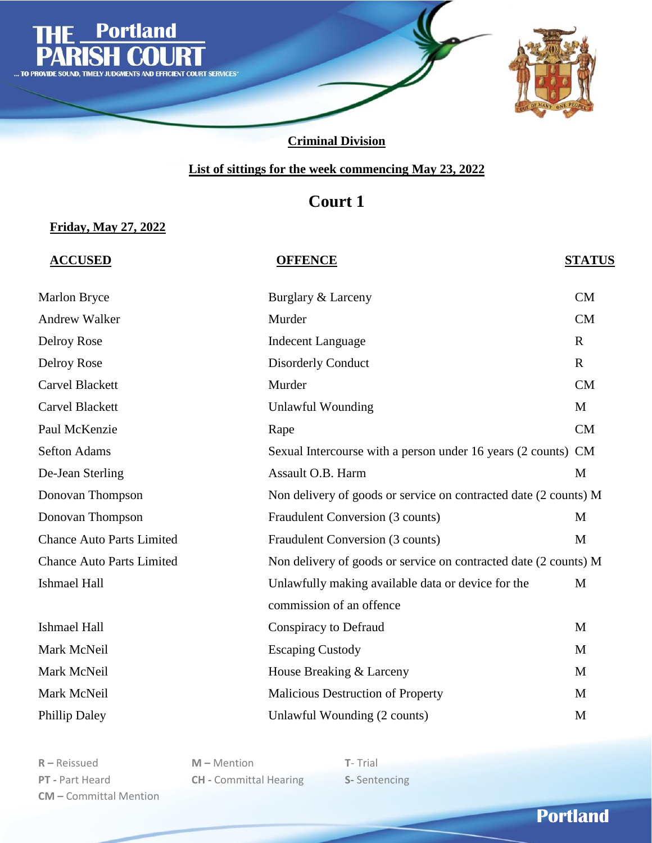

### **List of sittings for the week commencing May 23, 2022**

# **Court 1**

### **Friday, May 27, 2022**

### **ACCUSED OFFENCE STATUS**

| Marlon Bryce                     | Burglary & Larceny                                               | <b>CM</b>   |
|----------------------------------|------------------------------------------------------------------|-------------|
| <b>Andrew Walker</b>             | Murder                                                           | CM          |
| Delroy Rose                      | <b>Indecent Language</b>                                         | $\mathbf R$ |
| Delroy Rose                      | <b>Disorderly Conduct</b>                                        | $\mathbf R$ |
| <b>Carvel Blackett</b>           | Murder                                                           | CM          |
| Carvel Blackett                  | <b>Unlawful Wounding</b>                                         | M           |
| Paul McKenzie                    | Rape                                                             | CM          |
| <b>Sefton Adams</b>              | Sexual Intercourse with a person under 16 years (2 counts) CM    |             |
| De-Jean Sterling                 | Assault O.B. Harm                                                | M           |
| Donovan Thompson                 | Non delivery of goods or service on contracted date (2 counts) M |             |
| Donovan Thompson                 | Fraudulent Conversion (3 counts)                                 | M           |
| <b>Chance Auto Parts Limited</b> | Fraudulent Conversion (3 counts)                                 | M           |
| <b>Chance Auto Parts Limited</b> | Non delivery of goods or service on contracted date (2 counts) M |             |
| <b>Ishmael Hall</b>              | Unlawfully making available data or device for the               | M           |
|                                  | commission of an offence                                         |             |
| <b>Ishmael Hall</b>              | Conspiracy to Defraud                                            | M           |
| Mark McNeil                      | <b>Escaping Custody</b>                                          | M           |
| Mark McNeil                      | House Breaking & Larceny                                         | M           |
| Mark McNeil                      | Malicious Destruction of Property                                | M           |
| Phillip Daley                    | Unlawful Wounding (2 counts)                                     | M           |

**R –** Reissued **M –** Mention **T**- Trial **PT -** Part Heard **CH -** Committal Hearing **S-** Sentencing **CM –** Committal Mention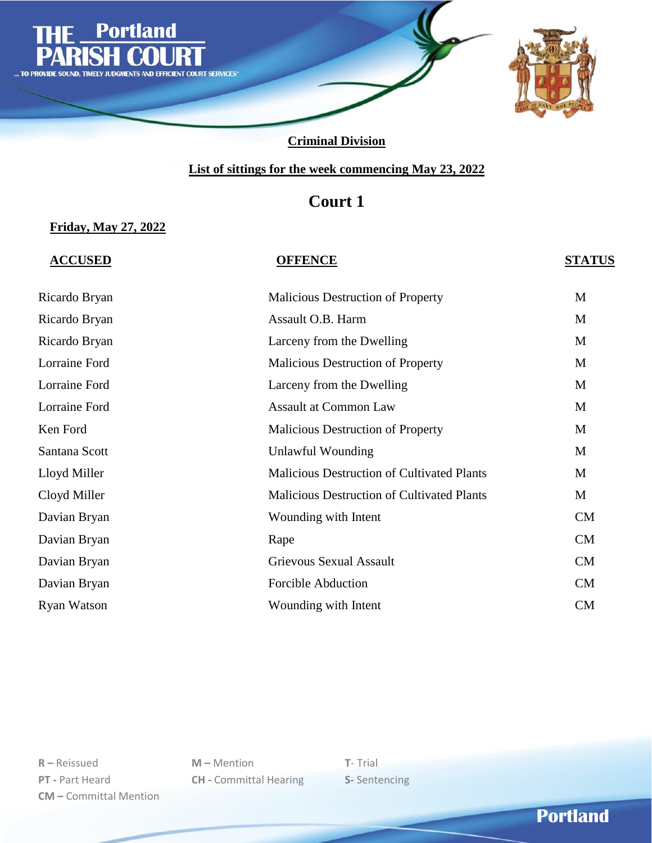

### **List of sittings for the week commencing May 23, 2022**

# **Court 1**

#### **Friday, May 27, 2022**

### **ACCUSED OFFENCE STATUS**

| <b>Malicious Destruction of Property</b>          | M         |
|---------------------------------------------------|-----------|
| Assault O.B. Harm                                 | M         |
| Larceny from the Dwelling                         | M         |
| <b>Malicious Destruction of Property</b>          | M         |
| Larceny from the Dwelling                         | M         |
| <b>Assault at Common Law</b>                      | M         |
| <b>Malicious Destruction of Property</b>          | M         |
| Unlawful Wounding                                 | M         |
| <b>Malicious Destruction of Cultivated Plants</b> | M         |
| <b>Malicious Destruction of Cultivated Plants</b> | M         |
| Wounding with Intent                              | <b>CM</b> |
| Rape                                              | CM        |
| Grievous Sexual Assault                           | CM        |
| <b>Forcible Abduction</b>                         | <b>CM</b> |
| Wounding with Intent                              | <b>CM</b> |
|                                                   |           |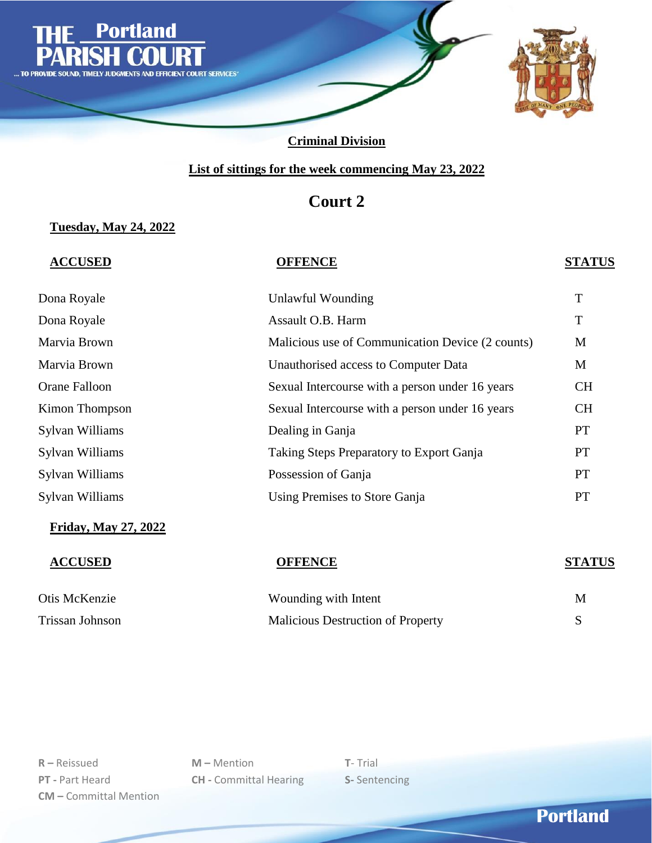

### **List of sittings for the week commencing May 23, 2022**

# **Court 2**

### **Tuesday, May 24, 2022**

### **ACCUSED OFFENCE STATUS**

| Dona Royale     | Unlawful Wounding                                | T         |
|-----------------|--------------------------------------------------|-----------|
| Dona Royale     | Assault O.B. Harm                                | T         |
| Marvia Brown    | Malicious use of Communication Device (2 counts) | M         |
| Marvia Brown    | Unauthorised access to Computer Data             | M         |
| Orane Falloon   | Sexual Intercourse with a person under 16 years  | <b>CH</b> |
| Kimon Thompson  | Sexual Intercourse with a person under 16 years  | <b>CH</b> |
| Sylvan Williams | Dealing in Ganja                                 | <b>PT</b> |
| Sylvan Williams | Taking Steps Preparatory to Export Ganja         | <b>PT</b> |
| Sylvan Williams | Possession of Ganja                              | <b>PT</b> |
| Sylvan Williams | Using Premises to Store Ganja                    | <b>PT</b> |
|                 |                                                  |           |

#### **Friday, May 27, 2022**

Otis McKenzie Wounding With Intent Muslim With Intent Muslim With Intent Muslim W Trissan Johnson Malicious Destruction of Property Section of Property Section of Property Section of Property Section of Property Section of Property Section of Property Section of Property Section of Property Section of P

# **ACCUSED OFFENCE STATUS**

| Vounding with Intent                     | M |
|------------------------------------------|---|
| <b>Aalicious Destruction of Property</b> |   |

**R –** Reissued **M –** Mention **T**- Trial **PT -** Part Heard **CH -** Committal Hearing **S-** Sentencing **CM –** Committal Mention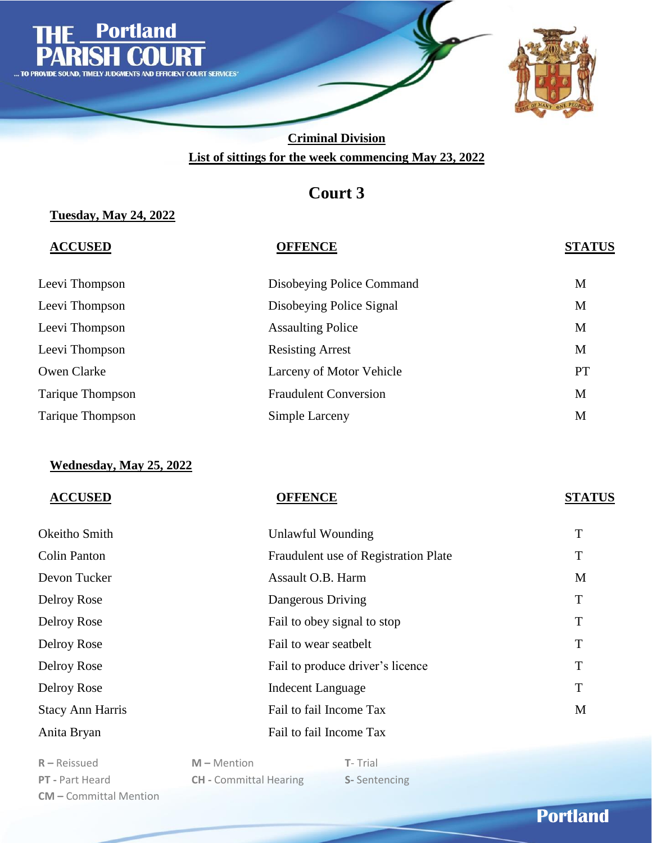

# **Court 3**

### **Tuesday, May 24, 2022**

| <b>ACCUSED</b>   | <b>OFFENCE</b>               | <b>STATUS</b> |
|------------------|------------------------------|---------------|
| Leevi Thompson   | Disobeying Police Command    | M             |
| Leevi Thompson   | Disobeying Police Signal     | M             |
| Leevi Thompson   | <b>Assaulting Police</b>     | M             |
| Leevi Thompson   | <b>Resisting Arrest</b>      | M             |
| Owen Clarke      | Larceny of Motor Vehicle     | <b>PT</b>     |
| Tarique Thompson | <b>Fraudulent Conversion</b> | M             |
| Tarique Thompson | Simple Larceny               | M             |

### **Wednesday, May 25, 2022**

|  | <b>ACCUSED</b> |
|--|----------------|
|  |                |

**ACCUSED OFFENCE STATUS**

| Okeitho Smith           | Unlawful Wounding                    | T |
|-------------------------|--------------------------------------|---|
| <b>Colin Panton</b>     | Fraudulent use of Registration Plate | T |
| Devon Tucker            | Assault O.B. Harm                    | M |
| Delroy Rose             | Dangerous Driving                    | T |
| Delroy Rose             | Fail to obey signal to stop          | T |
| Delroy Rose             | Fail to wear seatbelt                | T |
| Delroy Rose             | Fail to produce driver's licence     | T |
| Delroy Rose             | <b>Indecent Language</b>             | T |
| <b>Stacy Ann Harris</b> | Fail to fail Income Tax              | M |
| Anita Bryan             | Fail to fail Income Tax              |   |

**R –** Reissued **M –** Mention **T**- Trial **PT -** Part Heard **CH -** Committal Hearing **S-** Sentencing **CM –** Committal Mention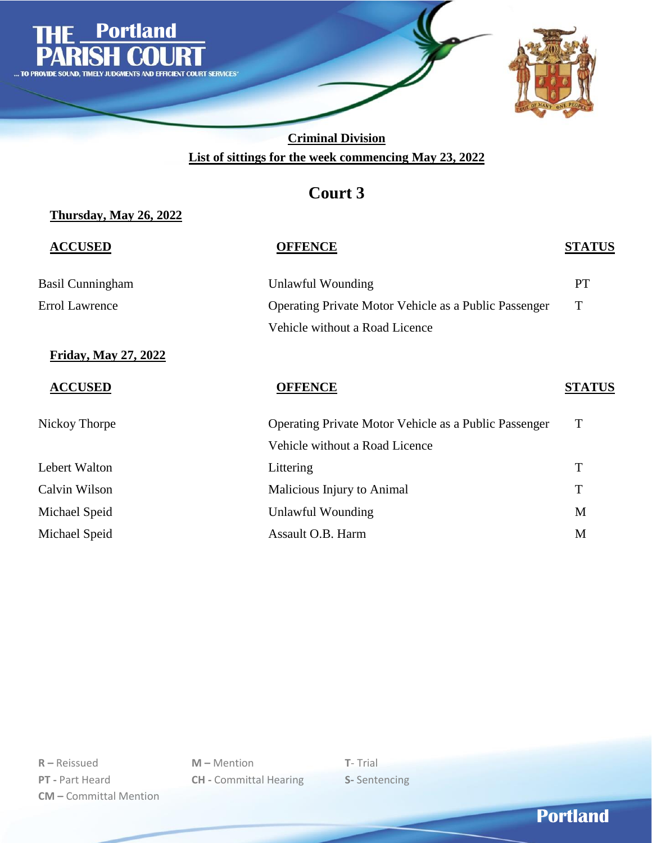

# **Court 3**

### **Thursday, May 26, 2022**

| <b>ACCUSED</b>          | <b>OFFENCE</b>                                               | <b>STATUS</b> |
|-------------------------|--------------------------------------------------------------|---------------|
| <b>Basil Cunningham</b> | <b>Unlawful Wounding</b>                                     | <b>PT</b>     |
| <b>Errol Lawrence</b>   | Operating Private Motor Vehicle as a Public Passenger        | T             |
|                         | Vehicle without a Road Licence                               |               |
| Friday, May 27, 2022    |                                                              |               |
| <b>ACCUSED</b>          | <b>OFFENCE</b>                                               | <b>STATUS</b> |
| Nickoy Thorpe           | <b>Operating Private Motor Vehicle as a Public Passenger</b> | T             |
|                         | Vehicle without a Road Licence                               |               |
| Lebert Walton           | Littering                                                    | T             |
| Calvin Wilson           | Malicious Injury to Animal                                   | T             |
| Michael Speid           | Unlawful Wounding                                            | M             |
| Michael Speid           | Assault O.B. Harm                                            | M             |
|                         |                                                              |               |

**R –** Reissued **M –** Mention **T**- Trial **PT -** Part Heard **CH -** Committal Hearing **S-** Sentencing **CM –** Committal Mention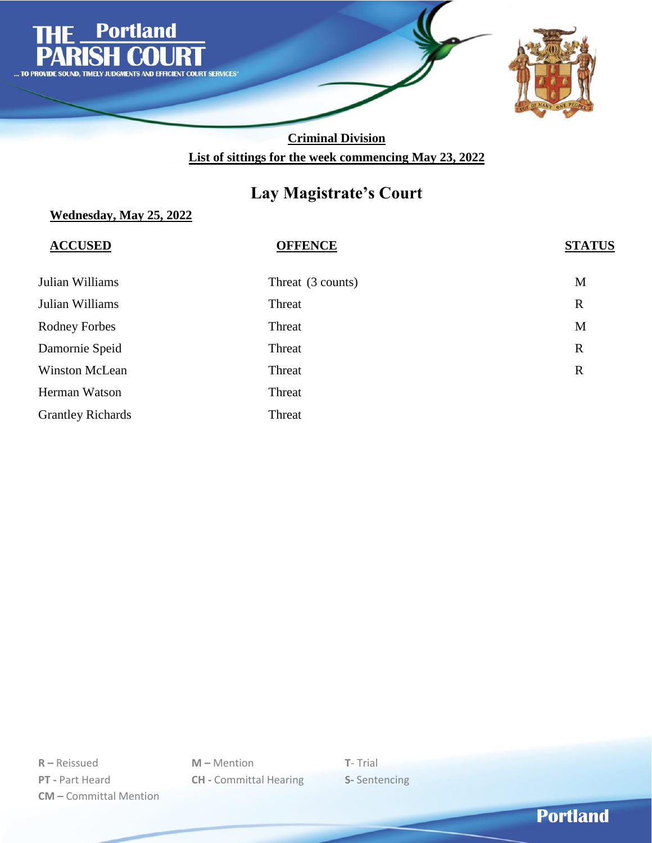

# **Lay Magistrate's Court**

### **Wednesday, May 25, 2022**

| <b>ACCUSED</b>           | <b>OFFENCE</b>    | <b>STATUS</b> |
|--------------------------|-------------------|---------------|
| Julian Williams          | Threat (3 counts) | M             |
| Julian Williams          | Threat            | $\mathbb{R}$  |
| <b>Rodney Forbes</b>     | Threat            | M             |
| Damornie Speid           | Threat            | $\mathbf R$   |
| <b>Winston McLean</b>    | Threat            | $\mathbf R$   |
| Herman Watson            | Threat            |               |
| <b>Grantley Richards</b> | Threat            |               |

**R –** Reissued **M –** Mention **T**- Trial **PT -** Part Heard **CH -** Committal Hearing **S-** Sentencing **CM –** Committal Mention